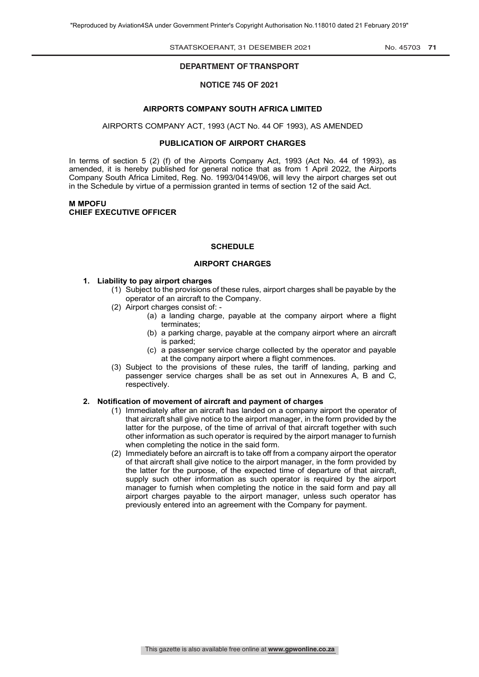#### STAATSKOERANT, 31 Desember 2021 No. 45703 **71**

# **DEPARTMENT OF TRANSPORT**

**GENERAL NOTICE** 

#### **NOTICE 745 OF 2021**

#### **AIRPORTS COMPANY SOUTH AFRICA LIMITED**

AIRPORTS COMPANY ACT, 1993 (ACT No. 44 OF 1993), AS AMENDED

#### **PUBLICATION OF AIRPORT CHARGES**

In terms of section 5 (2) (f) of the Airports Company Act, 1993 (Act No. 44 of 1993), as amended, it is hereby published for general notice that as from 1 April 2022, the Airports Company South Africa Limited, Reg. No. 1993/04149/06, will levy the airport charges set out in the Schedule by virtue of a permission granted in terms of section 12 of the said Act.

## **M MPOFU CHIEF EXECUTIVE OFFICER**

#### **SCHEDULE**

#### **AIRPORT CHARGES**

#### **1. Liability to pay airport charges**

- (1) Subject to the provisions of these rules, airport charges shall be payable by the operator of an aircraft to the Company.
- (2) Airport charges consist of:
	- (a) a landing charge, payable at the company airport where a flight terminates;
		- (b) a parking charge, payable at the company airport where an aircraft is parked;
		- (c) a passenger service charge collected by the operator and payable at the company airport where a flight commences.
- (3) Subject to the provisions of these rules, the tariff of landing, parking and passenger service charges shall be as set out in Annexures A, B and C, respectively.

## **2. Notification of movement of aircraft and payment of charges**

- (1) Immediately after an aircraft has landed on a company airport the operator of that aircraft shall give notice to the airport manager, in the form provided by the latter for the purpose, of the time of arrival of that aircraft together with such other information as such operator is required by the airport manager to furnish when completing the notice in the said form.
- (2) Immediately before an aircraft is to take off from a company airport the operator of that aircraft shall give notice to the airport manager, in the form provided by the latter for the purpose, of the expected time of departure of that aircraft, supply such other information as such operator is required by the airport manager to furnish when completing the notice in the said form and pay all airport charges payable to the airport manager, unless such operator has previously entered into an agreement with the Company for payment.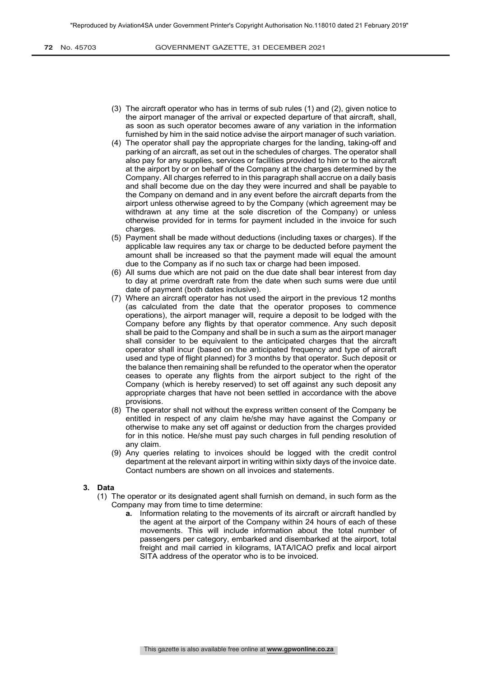- (3) The aircraft operator who has in terms of sub rules (1) and (2), given notice to the airport manager of the arrival or expected departure of that aircraft, shall, as soon as such operator becomes aware of any variation in the information furnished by him in the said notice advise the airport manager of such variation.
- (4) The operator shall pay the appropriate charges for the landing, taking-off and parking of an aircraft, as set out in the schedules of charges. The operator shall also pay for any supplies, services or facilities provided to him or to the aircraft at the airport by or on behalf of the Company at the charges determined by the Company. All charges referred to in this paragraph shall accrue on a daily basis and shall become due on the day they were incurred and shall be payable to the Company on demand and in any event before the aircraft departs from the airport unless otherwise agreed to by the Company (which agreement may be withdrawn at any time at the sole discretion of the Company) or unless otherwise provided for in terms for payment included in the invoice for such charges.
- (5) Payment shall be made without deductions (including taxes or charges). If the applicable law requires any tax or charge to be deducted before payment the amount shall be increased so that the payment made will equal the amount due to the Company as if no such tax or charge had been imposed.
- (6) All sums due which are not paid on the due date shall bear interest from day to day at prime overdraft rate from the date when such sums were due until date of payment (both dates inclusive).
- (7) Where an aircraft operator has not used the airport in the previous 12 months (as calculated from the date that the operator proposes to commence operations), the airport manager will, require a deposit to be lodged with the Company before any flights by that operator commence. Any such deposit shall be paid to the Company and shall be in such a sum as the airport manager shall consider to be equivalent to the anticipated charges that the aircraft operator shall incur (based on the anticipated frequency and type of aircraft used and type of flight planned) for 3 months by that operator. Such deposit or the balance then remaining shall be refunded to the operator when the operator ceases to operate any flights from the airport subject to the right of the Company (which is hereby reserved) to set off against any such deposit any appropriate charges that have not been settled in accordance with the above provisions.
- (8) The operator shall not without the express written consent of the Company be entitled in respect of any claim he/she may have against the Company or otherwise to make any set off against or deduction from the charges provided for in this notice. He/she must pay such charges in full pending resolution of any claim.
- (9) Any queries relating to invoices should be logged with the credit control department at the relevant airport in writing within sixty days of the invoice date. Contact numbers are shown on all invoices and statements.

## **3. Data**

- (1) The operator or its designated agent shall furnish on demand, in such form as the Company may from time to time determine:
	- **a.** Information relating to the movements of its aircraft or aircraft handled by the agent at the airport of the Company within 24 hours of each of these movements. This will include information about the total number of passengers per category, embarked and disembarked at the airport, total freight and mail carried in kilograms, IATA/ICAO prefix and local airport SITA address of the operator who is to be invoiced.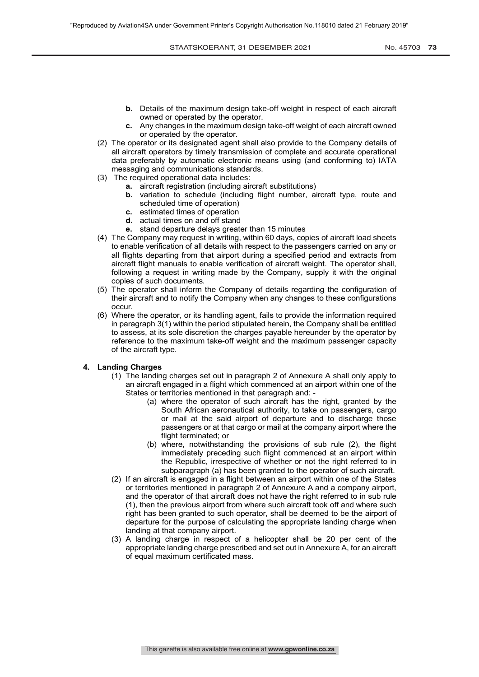- **b.** Details of the maximum design take-off weight in respect of each aircraft owned or operated by the operator.
- **c.** Any changes in the maximum design take-off weight of each aircraft owned or operated by the operator.
- (2) The operator or its designated agent shall also provide to the Company details of all aircraft operators by timely transmission of complete and accurate operational data preferably by automatic electronic means using (and conforming to) IATA messaging and communications standards.
- (3) The required operational data includes:
	- **a.** aircraft registration (including aircraft substitutions)
	- **b.** variation to schedule (including flight number, aircraft type, route and scheduled time of operation)
	- **c.** estimated times of operation
	- **d.** actual times on and off stand
	- **e.** stand departure delays greater than 15 minutes
- (4) The Company may request in writing, within 60 days, copies of aircraft load sheets to enable verification of all details with respect to the passengers carried on any or all flights departing from that airport during a specified period and extracts from aircraft flight manuals to enable verification of aircraft weight. The operator shall, following a request in writing made by the Company, supply it with the original copies of such documents.
- (5) The operator shall inform the Company of details regarding the configuration of their aircraft and to notify the Company when any changes to these configurations occur.
- (6) Where the operator, or its handling agent, fails to provide the information required in paragraph 3(1) within the period stipulated herein, the Company shall be entitled to assess, at its sole discretion the charges payable hereunder by the operator by reference to the maximum take-off weight and the maximum passenger capacity of the aircraft type.

## **4. Landing Charges**

- (1) The landing charges set out in paragraph 2 of Annexure A shall only apply to an aircraft engaged in a flight which commenced at an airport within one of the States or territories mentioned in that paragraph and: -
	- (a) where the operator of such aircraft has the right, granted by the South African aeronautical authority, to take on passengers, cargo or mail at the said airport of departure and to discharge those passengers or at that cargo or mail at the company airport where the flight terminated; or
	- (b) where, notwithstanding the provisions of sub rule (2), the flight immediately preceding such flight commenced at an airport within the Republic, irrespective of whether or not the right referred to in subparagraph (a) has been granted to the operator of such aircraft.
- (2) If an aircraft is engaged in a flight between an airport within one of the States or territories mentioned in paragraph 2 of Annexure A and a company airport, and the operator of that aircraft does not have the right referred to in sub rule (1), then the previous airport from where such aircraft took off and where such right has been granted to such operator, shall be deemed to be the airport of departure for the purpose of calculating the appropriate landing charge when landing at that company airport.
- (3) A landing charge in respect of a helicopter shall be 20 per cent of the appropriate landing charge prescribed and set out in Annexure A, for an aircraft of equal maximum certificated mass.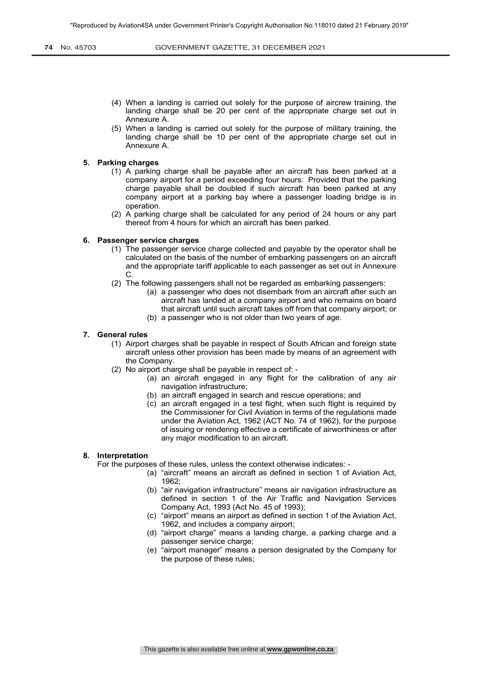- (4) When a landing is carried out solely for the purpose of aircrew training, the landing charge shall be 20 per cent of the appropriate charge set out in Annexure A.
- (5) When a landing is carried out solely for the purpose of military training, the landing charge shall be 10 per cent of the appropriate charge set out in Annexure A.

### **5. Parking charges**

- (1) A parking charge shall be payable after an aircraft has been parked at a company airport for a period exceeding four hours: Provided that the parking charge payable shall be doubled if such aircraft has been parked at any company airport at a parking bay where a passenger loading bridge is in operation.
- (2) A parking charge shall be calculated for any period of 24 hours or any part thereof from 4 hours for which an aircraft has been parked.

### **6. Passenger service charges**

- (1) The passenger service charge collected and payable by the operator shall be calculated on the basis of the number of embarking passengers on an aircraft and the appropriate tariff applicable to each passenger as set out in Annexure C.
- (2) The following passengers shall not be regarded as embarking passengers:
	- (a) a passenger who does not disembark from an aircraft after such an aircraft has landed at a company airport and who remains on board that aircraft until such aircraft takes off from that company airport; or
	- (b) a passenger who is not older than two years of age.

#### **7. General rules**

- (1) Airport charges shall be payable in respect of South African and foreign state aircraft unless other provision has been made by means of an agreement with the Company.
- (2) No airport charge shall be payable in respect of:
	- (a) an aircraft engaged in any flight for the calibration of any air navigation infrastructure;
	- (b) an aircraft engaged in search and rescue operations; and
	- (c) an aircraft engaged in a test flight, when such flight is required by the Commissioner for Civil Aviation in terms of the regulations made under the Aviation Act, 1962 (ACT No. 74 of 1962), for the purpose of issuing or rendering effective a certificate of airworthiness or after any major modification to an aircraft.

## **8. Interpretation**

For the purposes of these rules, unless the context otherwise indicates: -

- (a) "aircraft" means an aircraft as defined in section 1 of Aviation Act, 1962;
- (b) "air navigation infrastructure" means air navigation infrastructure as defined in section 1 of the Air Traffic and Navigation Services Company Act, 1993 (Act No. 45 of 1993);
- (c) "airport" means an airport as defined in section 1 of the Aviation Act, 1962, and includes a company airport;
- (d) "airport charge" means a landing charge, a parking charge and a passenger service charge;
- (e) "airport manager" means a person designated by the Company for the purpose of these rules;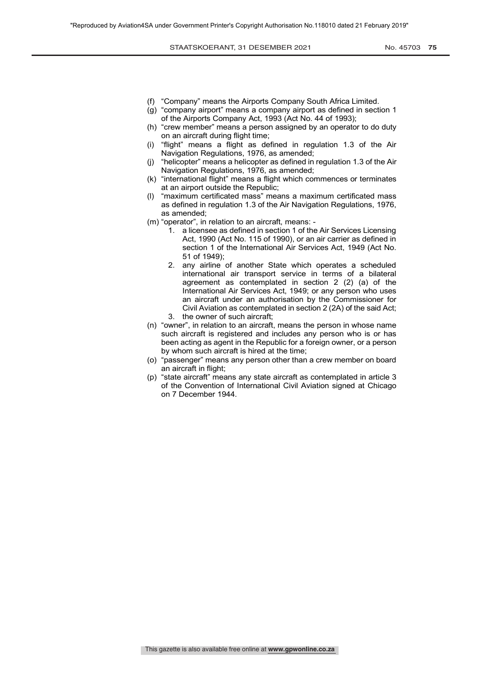- (f) "Company" means the Airports Company South Africa Limited.
- (g) "company airport" means a company airport as defined in section 1 of the Airports Company Act, 1993 (Act No. 44 of 1993);
- (h) "crew member" means a person assigned by an operator to do duty on an aircraft during flight time;
- (i) "flight" means a flight as defined in regulation 1.3 of the Air Navigation Regulations, 1976, as amended;
- (j) "helicopter" means a helicopter as defined in regulation 1.3 of the Air Navigation Regulations, 1976, as amended;
- (k) "international flight" means a flight which commences or terminates at an airport outside the Republic;
- (l) "maximum certificated mass" means a maximum certificated mass as defined in regulation 1.3 of the Air Navigation Regulations, 1976, as amended;
- (m) "operator", in relation to an aircraft, means:
	- 1. a licensee as defined in section 1 of the Air Services Licensing Act, 1990 (Act No. 115 of 1990), or an air carrier as defined in section 1 of the International Air Services Act, 1949 (Act No. 51 of 1949);
	- 2. any airline of another State which operates a scheduled international air transport service in terms of a bilateral agreement as contemplated in section 2 (2) (a) of the International Air Services Act, 1949; or any person who uses an aircraft under an authorisation by the Commissioner for Civil Aviation as contemplated in section 2 (2A) of the said Act;
	- 3. the owner of such aircraft;
- (n) "owner", in relation to an aircraft, means the person in whose name such aircraft is registered and includes any person who is or has been acting as agent in the Republic for a foreign owner, or a person by whom such aircraft is hired at the time;
- (o) "passenger" means any person other than a crew member on board an aircraft in flight;
- (p) "state aircraft" means any state aircraft as contemplated in article 3 of the Convention of International Civil Aviation signed at Chicago on 7 December 1944.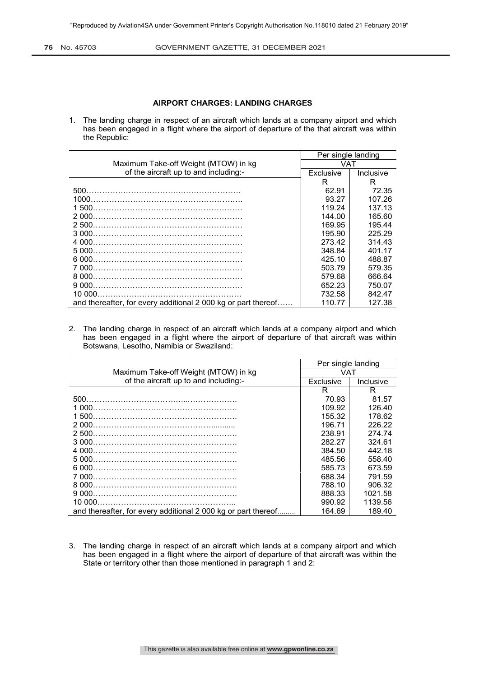**76** No. 45703 **GOVERNMENT GAZETTE, 31 DECEMBER 2021** 

## **AIRPORT CHARGES: LANDING CHARGES**

1. The landing charge in respect of an aircraft which lands at a company airport and which has been engaged in a flight where the airport of departure of the that aircraft was within the Republic:

|                                                               | Per single landing<br>VAT |           |
|---------------------------------------------------------------|---------------------------|-----------|
| Maximum Take-off Weight (MTOW) in kg                          |                           |           |
| of the aircraft up to and including:-                         | Exclusive                 | Inclusive |
|                                                               | R                         | R         |
|                                                               | 62.91                     | 72.35     |
|                                                               | 93.27                     | 107.26    |
|                                                               | 119.24                    | 137.13    |
| 2.000                                                         | 144.00                    | 165.60    |
|                                                               | 169.95                    | 195.44    |
|                                                               | 195.90                    | 225.29    |
|                                                               | 273.42                    | 314.43    |
|                                                               | 348.84                    | 401.17    |
|                                                               | 425.10                    | 488.87    |
|                                                               | 503.79                    | 579.35    |
|                                                               | 579.68                    | 666.64    |
|                                                               | 652.23                    | 750.07    |
|                                                               | 732.58                    | 842.47    |
| and thereafter, for every additional 2 000 kg or part thereof | 110.77                    | 127.38    |

2. The landing charge in respect of an aircraft which lands at a company airport and which has been engaged in a flight where the airport of departure of that aircraft was within Botswana, Lesotho, Namibia or Swaziland:

|                                                               | Per single landing |           |
|---------------------------------------------------------------|--------------------|-----------|
| Maximum Take-off Weight (MTOW) in kg                          | VAT                |           |
| of the aircraft up to and including:-                         | Exclusive          | Inclusive |
|                                                               | R                  | R         |
| 500                                                           | 70.93              | 81.57     |
|                                                               | 109.92             | 126.40    |
|                                                               | 155.32             | 178.62    |
|                                                               | 196.71             | 226.22    |
|                                                               | 238.91             | 274.74    |
|                                                               | 282.27             | 324.61    |
|                                                               | 384.50             | 442.18    |
|                                                               | 485.56             | 558.40    |
|                                                               | 585.73             | 673.59    |
|                                                               | 688.34             | 791.59    |
|                                                               | 788.10             | 906.32    |
|                                                               | 888.33             | 1021.58   |
|                                                               | 990.92             | 1139.56   |
| and thereafter, for every additional 2 000 kg or part thereof | 164.69             | 189.40    |

3. The landing charge in respect of an aircraft which lands at a company airport and which has been engaged in a flight where the airport of departure of that aircraft was within the State or territory other than those mentioned in paragraph 1 and 2: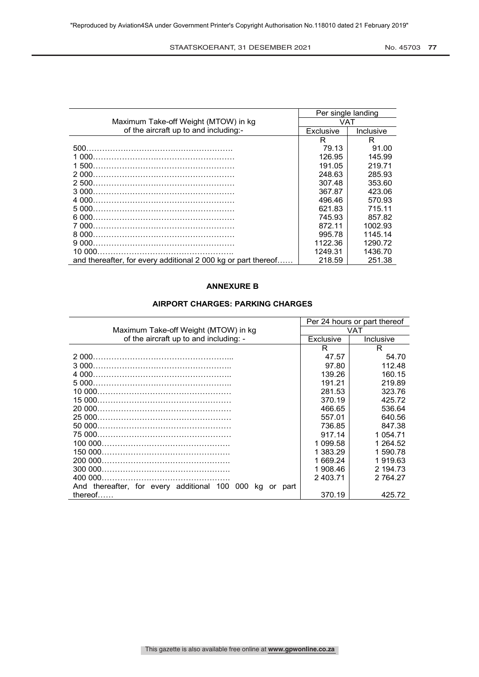STAATSKOERANT, 31 DESEMBER 2021 No. 45703 77

|                                                               | Per single landing |           |
|---------------------------------------------------------------|--------------------|-----------|
| Maximum Take-off Weight (MTOW) in kg                          | <b>VAT</b>         |           |
| of the aircraft up to and including:-                         | Exclusive          | Inclusive |
|                                                               | R.                 | R         |
|                                                               | 79.13              | 91.00     |
|                                                               | 126.95             | 145.99    |
|                                                               | 191.05             | 219.71    |
|                                                               | 248.63             | 285.93    |
|                                                               | 307.48             | 353.60    |
|                                                               | 367.87             | 423.06    |
|                                                               | 496.46             | 570.93    |
|                                                               | 621.83             | 715.11    |
|                                                               | 745.93             | 857.82    |
|                                                               | 872 11             | 1002.93   |
|                                                               | 995.78             | 1145.14   |
|                                                               | 1122.36            | 1290.72   |
|                                                               | 1249.31            | 1436.70   |
| and thereafter, for every additional 2 000 kg or part thereof | 218.59             | 251.38    |

# **ANNEXURE B**

## **AIRPORT CHARGES: PARKING CHARGES**

|                                                                  | Per 24 hours or part thereof |           |
|------------------------------------------------------------------|------------------------------|-----------|
| Maximum Take-off Weight (MTOW) in kg                             | <b>VAT</b>                   |           |
| of the aircraft up to and including: -                           | Exclusive                    | Inclusive |
|                                                                  | R.                           | R         |
|                                                                  | 47.57                        | 54.70     |
|                                                                  | 97.80                        | 112.48    |
|                                                                  | 139.26                       | 160.15    |
|                                                                  | 191.21                       | 219.89    |
|                                                                  | 281.53                       | 323.76    |
|                                                                  | 370.19                       | 425.72    |
|                                                                  | 466.65                       | 536.64    |
|                                                                  | 557.01                       | 640.56    |
|                                                                  | 736.85                       | 847.38    |
|                                                                  | 917.14                       | 1 0 54.71 |
|                                                                  | 1 099.58                     | 1 264.52  |
|                                                                  | 1 383.29                     | 1 590.78  |
|                                                                  | 1 669.24                     | 1 919.63  |
| 300 000.                                                         | 1 908.46                     | 2 194.73  |
|                                                                  | 2 403.71                     | 2 764.27  |
| And thereafter, for every additional 100 000<br>kq<br>part<br>or |                              |           |
| thereof $\dots$                                                  | 370.19                       | 425.72    |